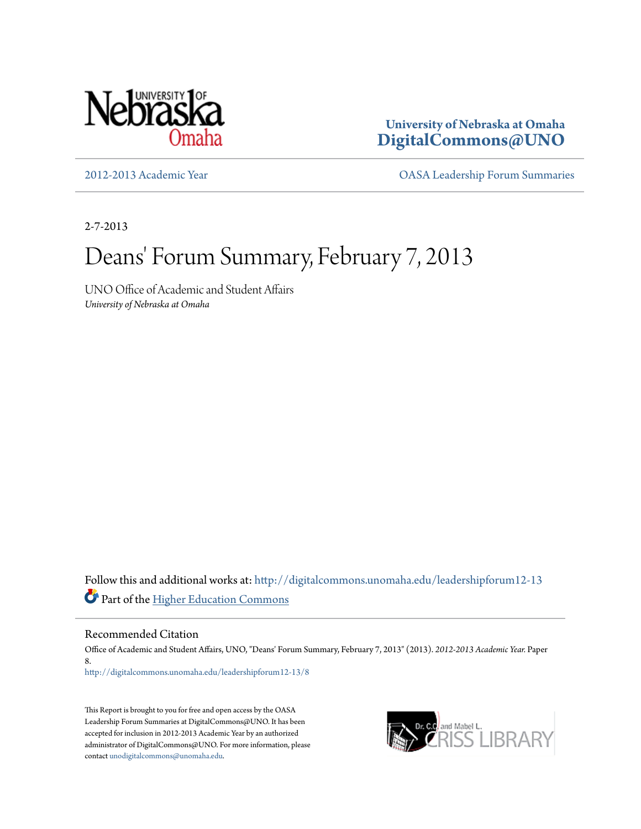

**University of Nebraska at Omaha [DigitalCommons@UNO](http://digitalcommons.unomaha.edu?utm_source=digitalcommons.unomaha.edu%2Fleadershipforum12-13%2F8&utm_medium=PDF&utm_campaign=PDFCoverPages)**

[2012-2013 Academic Year](http://digitalcommons.unomaha.edu/leadershipforum12-13?utm_source=digitalcommons.unomaha.edu%2Fleadershipforum12-13%2F8&utm_medium=PDF&utm_campaign=PDFCoverPages) [OASA Leadership Forum Summaries](http://digitalcommons.unomaha.edu/oasaleadershipforum?utm_source=digitalcommons.unomaha.edu%2Fleadershipforum12-13%2F8&utm_medium=PDF&utm_campaign=PDFCoverPages)

2-7-2013

# Deans' Forum Summary, February 7, 2013

UNO Office of Academic and Student Affairs *University of Nebraska at Omaha*

Follow this and additional works at: [http://digitalcommons.unomaha.edu/leadershipforum12-13](http://digitalcommons.unomaha.edu/leadershipforum12-13?utm_source=digitalcommons.unomaha.edu%2Fleadershipforum12-13%2F8&utm_medium=PDF&utm_campaign=PDFCoverPages) Part of the [Higher Education Commons](http://network.bepress.com/hgg/discipline/1245?utm_source=digitalcommons.unomaha.edu%2Fleadershipforum12-13%2F8&utm_medium=PDF&utm_campaign=PDFCoverPages)

Recommended Citation

Office of Academic and Student Affairs, UNO, "Deans' Forum Summary, February 7, 2013" (2013). *2012-2013 Academic Year.* Paper 8. [http://digitalcommons.unomaha.edu/leadershipforum12-13/8](http://digitalcommons.unomaha.edu/leadershipforum12-13/8?utm_source=digitalcommons.unomaha.edu%2Fleadershipforum12-13%2F8&utm_medium=PDF&utm_campaign=PDFCoverPages)

This Report is brought to you for free and open access by the OASA Leadership Forum Summaries at DigitalCommons@UNO. It has been accepted for inclusion in 2012-2013 Academic Year by an authorized administrator of DigitalCommons@UNO. For more information, please contact [unodigitalcommons@unomaha.edu.](mailto:unodigitalcommons@unomaha.edu)

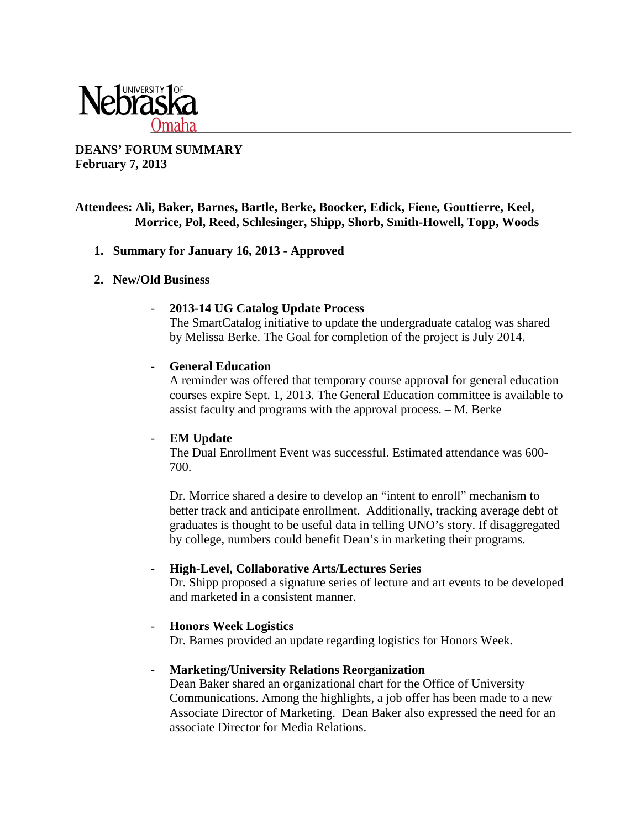

# **DEANS' FORUM SUMMARY February 7, 2013**

# **Attendees: Ali, Baker, Barnes, Bartle, Berke, Boocker, Edick, Fiene, Gouttierre, Keel, Morrice, Pol, Reed, Schlesinger, Shipp, Shorb, Smith-Howell, Topp, Woods**

#### **1. Summary for January 16, 2013 - Approved**

#### **2. New/Old Business**

# - **2013-14 UG Catalog Update Process**

The SmartCatalog initiative to update the undergraduate catalog was shared by Melissa Berke. The Goal for completion of the project is July 2014.

#### - **General Education**

A reminder was offered that temporary course approval for general education courses expire Sept. 1, 2013. The General Education committee is available to assist faculty and programs with the approval process. – M. Berke

# - **EM Update**

The Dual Enrollment Event was successful. Estimated attendance was 600- 700.

Dr. Morrice shared a desire to develop an "intent to enroll" mechanism to better track and anticipate enrollment. Additionally, tracking average debt of graduates is thought to be useful data in telling UNO's story. If disaggregated by college, numbers could benefit Dean's in marketing their programs.

# - **High-Level, Collaborative Arts/Lectures Series**

Dr. Shipp proposed a signature series of lecture and art events to be developed and marketed in a consistent manner.

# - **Honors Week Logistics**

Dr. Barnes provided an update regarding logistics for Honors Week.

#### - **Marketing/University Relations Reorganization**

Dean Baker shared an organizational chart for the Office of University Communications. Among the highlights, a job offer has been made to a new Associate Director of Marketing. Dean Baker also expressed the need for an associate Director for Media Relations.